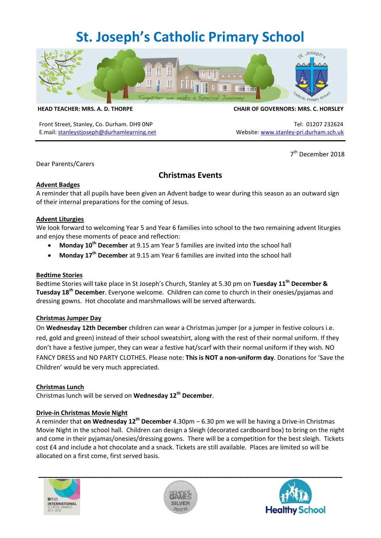# **St. Joseph's Catholic Primary School**



Front Street, Stanley, Co. Durham. DH9 ONP Tel: 01207 232624 E.mail: [stanleystjoseph@durhamlearning.net](mailto:stanleystjoseph@durhamlearning.net) Website[: www.stanley-pri.durham.sch.uk](http://www.stanley-pri.durham.sch.uk/)

#### **HEAD TEACHER: MRS. A. D. THORPE CHAIR OF GOVERNORS: MRS. C. HORSLEY**

7<sup>th</sup> December 2018

Dear Parents/Carers

## **Christmas Events**

#### **Advent Badges**

A reminder that all pupils have been given an Advent badge to wear during this season as an outward sign of their internal preparations for the coming of Jesus.

#### **Advent Liturgies**

We look forward to welcoming Year 5 and Year 6 families into school to the two remaining advent liturgies and enjoy these moments of peace and reflection:

- **Monday 10th December** at 9.15 am Year 5 families are invited into the school hall
- **Monday 17th December** at 9.15 am Year 6 families are invited into the school hall

#### **Bedtime Stories**

Bedtime Stories will take place in St Joseph's Church, Stanley at 5.30 pm on **Tuesday 11th December & Tuesday 18th December**. Everyone welcome. Children can come to church in their onesies/pyjamas and dressing gowns. Hot chocolate and marshmallows will be served afterwards.

#### **Christmas Jumper Day**

On **Wednesday 12th December** children can wear a Christmas jumper (or a jumper in festive colours i.e. red, gold and green) instead of their school sweatshirt, along with the rest of their normal uniform. If they don't have a festive jumper, they can wear a festive hat/scarf with their normal uniform if they wish. NO FANCY DRESS and NO PARTY CLOTHES. Please note: **This is NOT a non-uniform day**. Donations for 'Save the Children' would be very much appreciated.

#### **Christmas Lunch**

Christmas lunch will be served on **Wednesday 12th December**.

#### **Drive-in Christmas Movie Night**

A reminder that **on Wednesday 12th December** 4.30pm – 6.30 pm we will be having a Drive-in Christmas Movie Night in the school hall. Children can design a Sleigh (decorated cardboard box) to bring on the night and come in their pyjamas/onesies/dressing gowns. There will be a competition for the best sleigh. Tickets cost £4 and include a hot chocolate and a snack. Tickets are still available. Places are limited so will be allocated on a first come, first served basis.